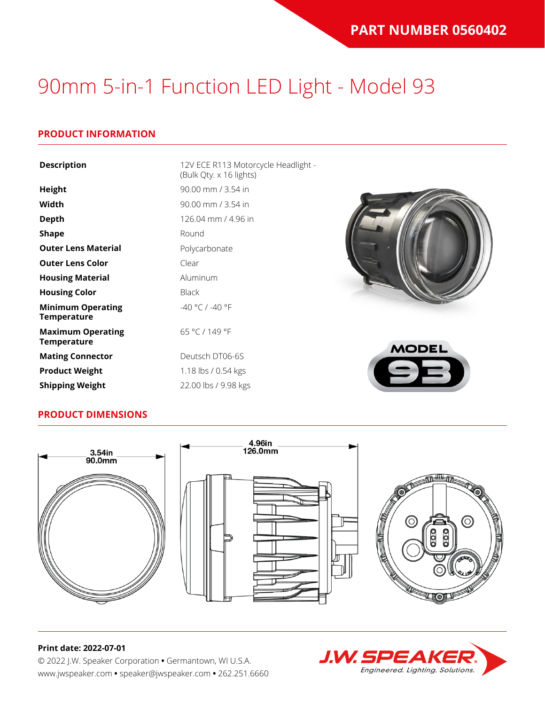### **PRODUCT INFORMATION**

| <b>Description</b>                             | 12V ECE R113 Motorcycle Headlight -<br>(Bulk Qty. x 16 lights) |              |
|------------------------------------------------|----------------------------------------------------------------|--------------|
| Height                                         | 90.00 mm / 3.54 in                                             |              |
| Width                                          | 90.00 mm / 3.54 in                                             |              |
| <b>Depth</b>                                   | 126.04 mm / 4.96 in                                            |              |
| <b>Shape</b>                                   | Round                                                          |              |
| <b>Outer Lens Material</b>                     | Polycarbonate                                                  |              |
| <b>Outer Lens Color</b>                        | Clear                                                          |              |
| <b>Housing Material</b>                        | Aluminum                                                       |              |
| <b>Housing Color</b>                           | <b>Black</b>                                                   |              |
| <b>Minimum Operating</b><br><b>Temperature</b> | $-40 °C / -40 °F$                                              |              |
| <b>Maximum Operating</b><br><b>Temperature</b> | 65 °C / 149 °F                                                 | <b>MODEL</b> |
| <b>Mating Connector</b>                        | Deutsch DT06-6S                                                |              |
| <b>Product Weight</b>                          | 1.18 lbs / 0.54 kgs                                            |              |
| <b>Shipping Weight</b>                         | 22.00 lbs / 9.98 kgs                                           |              |

#### **PRODUCT DIMENSIONS**



#### **Print date: 2022-07-01**

© 2022 J.W. Speaker Corporation **•** Germantown, WI U.S.A. www.jwspeaker.com **•** speaker@jwspeaker.com **•** 262.251.6660

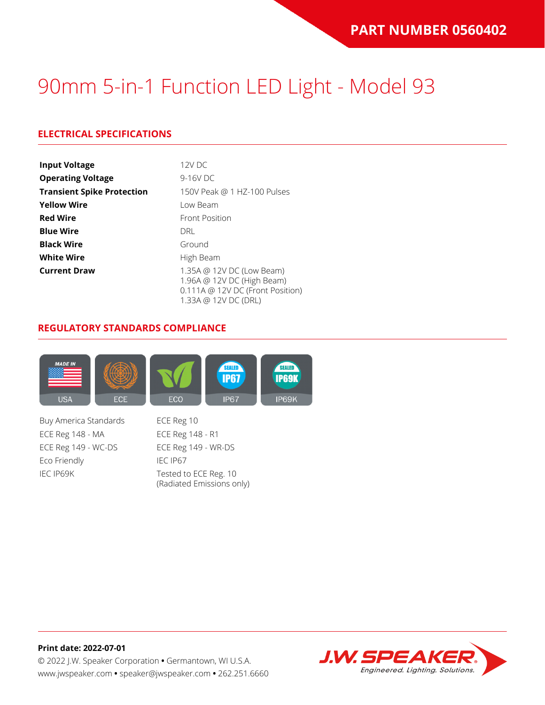## **ELECTRICAL SPECIFICATIONS**

| <b>Input Voltage</b>              | $12V$ DC                                                                                                            |  |  |  |  |
|-----------------------------------|---------------------------------------------------------------------------------------------------------------------|--|--|--|--|
| <b>Operating Voltage</b>          | 9-16V DC                                                                                                            |  |  |  |  |
| <b>Transient Spike Protection</b> | 150V Peak @ 1 HZ-100 Pulses                                                                                         |  |  |  |  |
| <b>Yellow Wire</b>                | Low Beam                                                                                                            |  |  |  |  |
| <b>Red Wire</b>                   | <b>Front Position</b>                                                                                               |  |  |  |  |
| <b>Blue Wire</b>                  | <b>DRL</b>                                                                                                          |  |  |  |  |
| <b>Black Wire</b>                 | Ground                                                                                                              |  |  |  |  |
| <b>White Wire</b>                 | High Beam                                                                                                           |  |  |  |  |
| <b>Current Draw</b>               | 1.35A @ 12V DC (Low Beam)<br>1.96A @ 12V DC (High Beam)<br>0.111A @ 12V DC (Front Position)<br>1.33A @ 12V DC (DRL) |  |  |  |  |

#### **REGULATORY STANDARDS COMPLIANCE**



Buy America Standards ECE Reg 10 ECE Reg 148 - MA ECE Reg 148 - R1 ECE Reg 149 - WC-DS ECE Reg 149 - WR-DS Eco Friendly IEC IP67 IEC IP69K Tested to ECE Reg. 10

(Radiated Emissions only)



#### **Print date: 2022-07-01** © 2022 J.W. Speaker Corporation **•** Germantown, WI U.S.A. www.jwspeaker.com **•** speaker@jwspeaker.com **•** 262.251.6660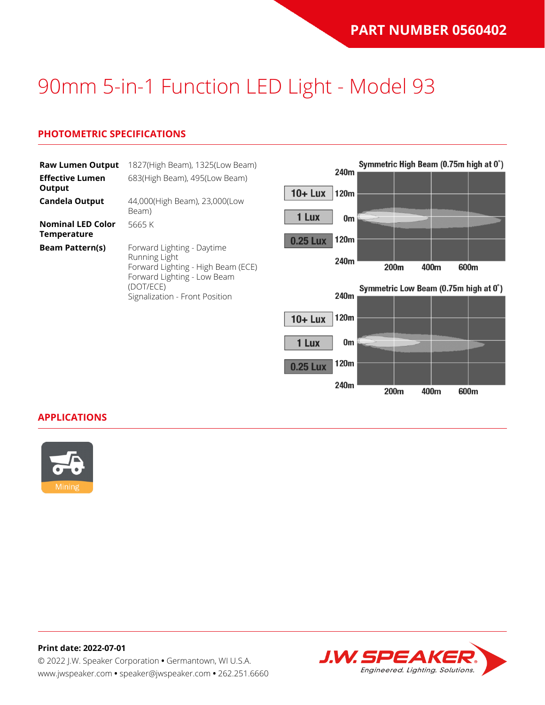### **PHOTOMETRIC SPECIFICATIONS**

| <b>Raw Lumen Output</b><br><b>Effective Lumen</b> | 1827(High Beam), 1325(Low Beam)<br>683(High Beam), 495(Low Beam)                  |                 | 240m                   | Symmetric High Beam (0.75m high at 0°) |      |      |  |
|---------------------------------------------------|-----------------------------------------------------------------------------------|-----------------|------------------------|----------------------------------------|------|------|--|
| Output<br><b>Candela Output</b>                   | 44,000(High Beam), 23,000(Low<br>Beam)                                            | $10 +$ Lux      | 120m                   |                                        |      |      |  |
| <b>Nominal LED Color</b><br><b>Temperature</b>    | 5665 K                                                                            | 1 Lux           | 0 <sub>m</sub><br>120m |                                        |      |      |  |
| <b>Beam Pattern(s)</b>                            | Forward Lighting - Daytime<br>Running Light<br>Forward Lighting - High Beam (ECE) | <b>0.25 Lux</b> | 240m                   | 200 <sub>m</sub>                       | 400m | 600m |  |
|                                                   | Forward Lighting - Low Beam<br>(DOT/ECE)<br>Signalization - Front Position        |                 | 240m                   | Symmetric Low Beam (0.75m high at 0°)  |      |      |  |
|                                                   |                                                                                   | $10 +$ Lux      | 120m                   |                                        |      |      |  |
|                                                   |                                                                                   | 1 Lux           | 0m                     |                                        |      |      |  |

120m

240m

200m

400m

600m

**0.25 Lux** 

**APPLICATIONS**



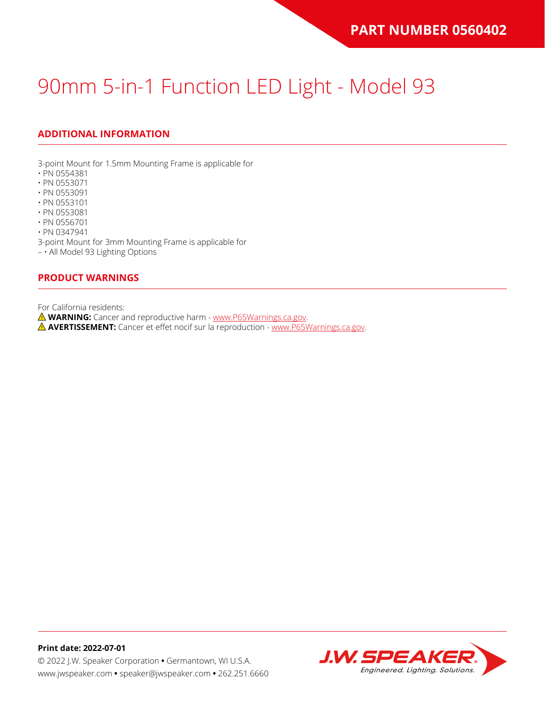## **ADDITIONAL INFORMATION**

3-point Mount for 1.5mm Mounting Frame is applicable for

- PN 0554381
- PN 0553071
- PN 0553091
- PN 0553101
- PN 0553081
- PN 0556701

• PN 0347941

3-point Mount for 3mm Mounting Frame is applicable for

– • All Model 93 Lighting Options

#### **PRODUCT WARNINGS**

For California residents:

**WARNING:** Cancer and reproductive harm - [www.P65Warnings.ca.gov](https://www.p65warnings.ca.gov/).

**AVERTISSEMENT:** Cancer et effet nocif sur la reproduction - [www.P65Warnings.ca.gov.](https://www.p65warnings.ca.gov/)

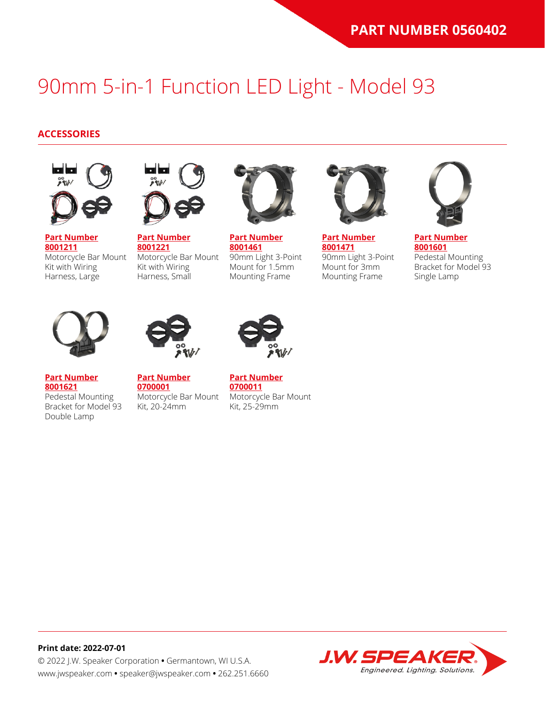### **ACCESSORIES**



**[Part Number](https://www.jwspeaker.com/products/90mm-headlights-model-93/8001211/) [8001211](https://www.jwspeaker.com/products/90mm-headlights-model-93/8001211/)** Motorcycle Bar Mount Kit with Wiring Harness, Large



**[Part Number](https://www.jwspeaker.com/products/90mm-headlights-model-93/8001221/) [8001221](https://www.jwspeaker.com/products/90mm-headlights-model-93/8001221/)** Motorcycle Bar Mount Kit with Wiring Harness, Small



**[Part Number](https://www.jwspeaker.com/products/90mm-headlights-model-93/8001461/) [8001461](https://www.jwspeaker.com/products/90mm-headlights-model-93/8001461/)** 90mm Light 3-Point Mount for 1.5mm Mounting Frame



**[Part Number](https://www.jwspeaker.com/products/90mm-headlights-model-93/8001471/) [8001471](https://www.jwspeaker.com/products/90mm-headlights-model-93/8001471/)** 90mm Light 3-Point Mount for 3mm Mounting Frame



**[Part Number](https://www.jwspeaker.com/products/90mm-headlights-model-93/8001601/) [8001601](https://www.jwspeaker.com/products/90mm-headlights-model-93/8001601/)** Pedestal Mounting Bracket for Model 93 Single Lamp



**[Part Number](https://www.jwspeaker.com/products/90mm-headlights-model-93/8001621/) [8001621](https://www.jwspeaker.com/products/90mm-headlights-model-93/8001621/)**

Double Lamp

Pedestal Mounting



**[Part Number](https://www.jwspeaker.com/?post_type=part&p=26513&preview=true) [0700001](https://www.jwspeaker.com/?post_type=part&p=26513&preview=true)** Bracket for Model 93 Motorcycle Bar Mount Kit, 20-24mm



**[Part Number](https://www.jwspeaker.com/?post_type=part&p=26512&preview=true) [0700011](https://www.jwspeaker.com/?post_type=part&p=26512&preview=true)** Motorcycle Bar Mount Kit, 25-29mm